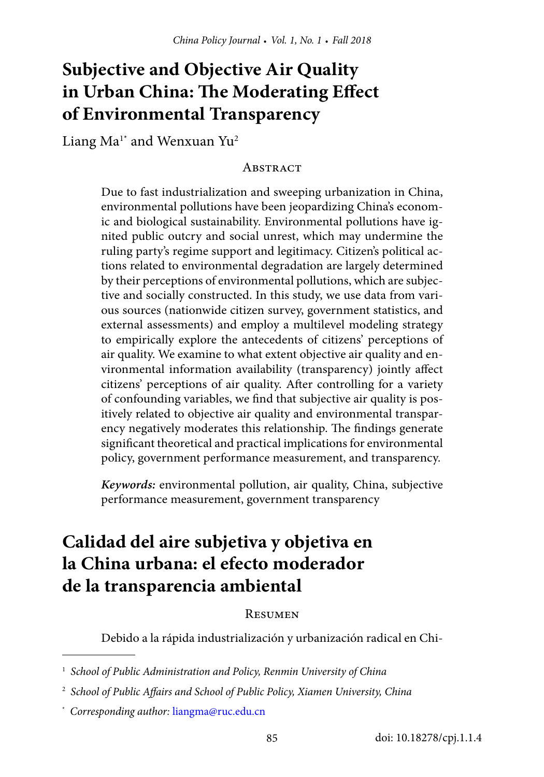# **Subjective and Objective Air Quality in Urban China: The Moderating Effect of Environmental Transparency**

Liang  $Ma^{1*}$  and Wenxuan Yu<sup>2</sup>

#### **ABSTRACT**

Due to fast industrialization and sweeping urbanization in China, environmental pollutions have been jeopardizing China's economic and biological sustainability. Environmental pollutions have ignited public outcry and social unrest, which may undermine the ruling party's regime support and legitimacy. Citizen's political actions related to environmental degradation are largely determined by their perceptions of environmental pollutions, which are subjective and socially constructed. In this study, we use data from various sources (nationwide citizen survey, government statistics, and external assessments) and employ a multilevel modeling strategy to empirically explore the antecedents of citizens' perceptions of air quality. We examine to what extent objective air quality and environmental information availability (transparency) jointly affect citizens' perceptions of air quality. After controlling for a variety of confounding variables, we find that subjective air quality is positively related to objective air quality and environmental transparency negatively moderates this relationship. The findings generate significant theoretical and practical implications for environmental policy, government performance measurement, and transparency.

*Keywords:* environmental pollution, air quality, China, subjective performance measurement, government transparency

# **Calidad del aire subjetiva y objetiva en la China urbana: el efecto moderador de la transparencia ambiental**

#### **RESUMEN**

Debido a la rápida industrialización y urbanización radical en Chi-

<sup>1</sup>  *School of Public Administration and Policy, Renmin University of China*

<sup>2</sup>  *School of Public Affairs and School of Public Policy, Xiamen University, China*

<sup>\*</sup>  *Corresponding author:* [liangma@ruc.edu.cn](mailto:liangma%40ruc.edu.cn?subject=)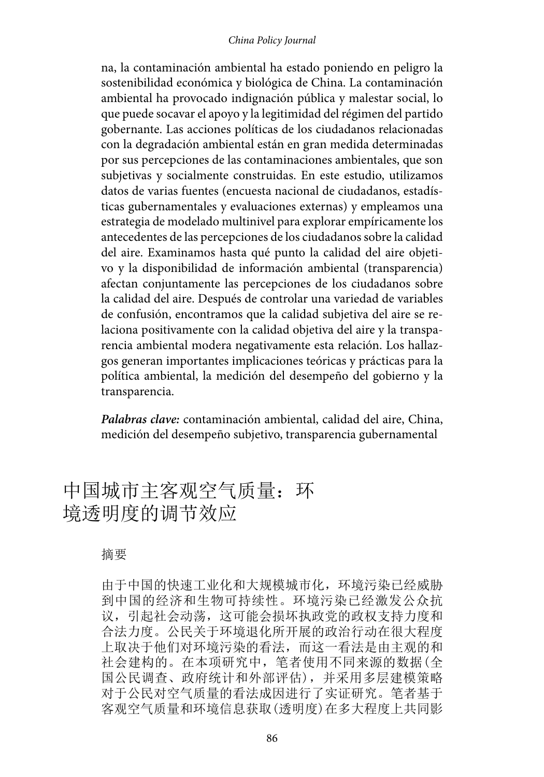#### *China Policy Journal*

na, la contaminación ambiental ha estado poniendo en peligro la sostenibilidad económica y biológica de China. La contaminación ambiental ha provocado indignación pública y malestar social, lo que puede socavar el apoyo y la legitimidad del régimen del partido gobernante. Las acciones políticas de los ciudadanos relacionadas con la degradación ambiental están en gran medida determinadas por sus percepciones de las contaminaciones ambientales, que son subjetivas y socialmente construidas. En este estudio, utilizamos datos de varias fuentes (encuesta nacional de ciudadanos, estadísticas gubernamentales y evaluaciones externas) y empleamos una estrategia de modelado multinivel para explorar empíricamente los antecedentes de las percepciones de los ciudadanos sobre la calidad del aire. Examinamos hasta qué punto la calidad del aire objetivo y la disponibilidad de información ambiental (transparencia) afectan conjuntamente las percepciones de los ciudadanos sobre la calidad del aire. Después de controlar una variedad de variables de confusión, encontramos que la calidad subjetiva del aire se relaciona positivamente con la calidad objetiva del aire y la transparencia ambiental modera negativamente esta relación. Los hallazgos generan importantes implicaciones teóricas y prácticas para la política ambiental, la medición del desempeño del gobierno y la transparencia.

*Palabras clave:* contaminación ambiental, calidad del aire, China, medición del desempeño subjetivo, transparencia gubernamental

# 中国城市主客观空气质量:环 境透明度的调节效应

#### 摘要

由于中国的快速工业化和大规模城市化,环境污染已经威胁 到中国的经济和生物可持续性。环境污染已经激发公众抗 议,引起社会动荡,这可能会损坏执政党的政权支持力度和 合法力度。公民关于环境退化所开展的政治行动在很大程度 上取决于他们对环境污染的看法,而这一看法是由主观的和 社会建构的。在本项研究中,笔者使用不同来源的数据(全 国公民调查、政府统计和外部评估),并采用多层建模策略 对于公民对空气质量的看法成因进行了实证研究。笔者基于 客观空气质量和环境信息获取(透明度)在多大程度上共同影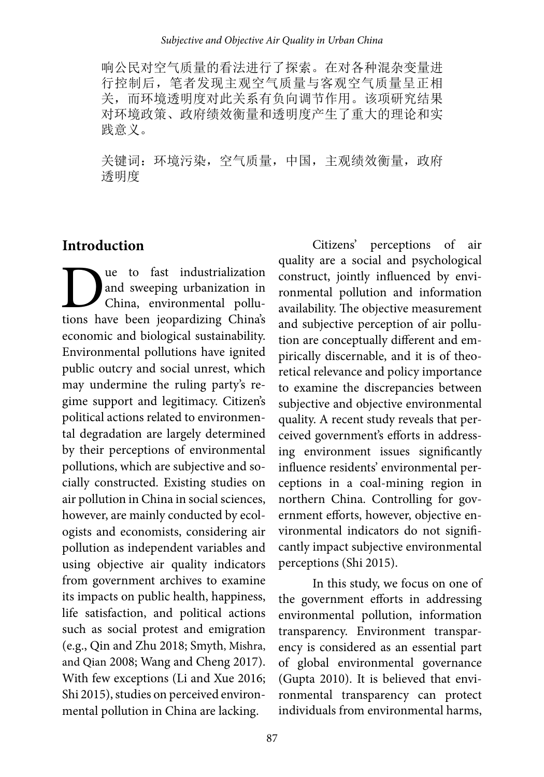响公民对空气质量的看法进行了探索。在对各种混杂变量进 行控制后,笔者发现主观空气质量与客观空气质量呈正相 关,而环境透明度对此关系有负向调节作用。该项研究结果 对环境政策、政府绩效衡量和透明度产生了重大的理论和实 践意义。

关键词:环境污染,空气质量,中国,主观绩效衡量,政府 透明度

### **Introduction**

**D**ue to fast industrialization<br>and sweeping urbanization in<br>China, environmental pollu-<br>tions have been ieopardizing China's and sweeping urbanization in China, environmental pollutions have been jeopardizing China's economic and biological sustainability. Environmental pollutions have ignited public outcry and social unrest, which may undermine the ruling party's regime support and legitimacy. Citizen's political actions related to environmental degradation are largely determined by their perceptions of environmental pollutions, which are subjective and socially constructed. Existing studies on air pollution in China in social sciences, however, are mainly conducted by ecologists and economists, considering air pollution as independent variables and using objective air quality indicators from government archives to examine its impacts on public health, happiness, life satisfaction, and political actions such as social protest and emigration (e.g., Qin and Zhu 2018; Smyth, Mishra, and Qian 2008; Wang and Cheng 2017). With few exceptions (Li and Xue 2016; Shi 2015), studies on perceived environmental pollution in China are lacking.

Citizens' perceptions of air quality are a social and psychological construct, jointly influenced by environmental pollution and information availability. The objective measurement and subjective perception of air pollution are conceptually different and empirically discernable, and it is of theoretical relevance and policy importance to examine the discrepancies between subjective and objective environmental quality. A recent study reveals that perceived government's efforts in addressing environment issues significantly influence residents' environmental perceptions in a coal-mining region in northern China. Controlling for government efforts, however, objective environmental indicators do not significantly impact subjective environmental perceptions (Shi 2015).

In this study, we focus on one of the government efforts in addressing environmental pollution, information transparency. Environment transparency is considered as an essential part of global environmental governance (Gupta 2010). It is believed that environmental transparency can protect individuals from environmental harms,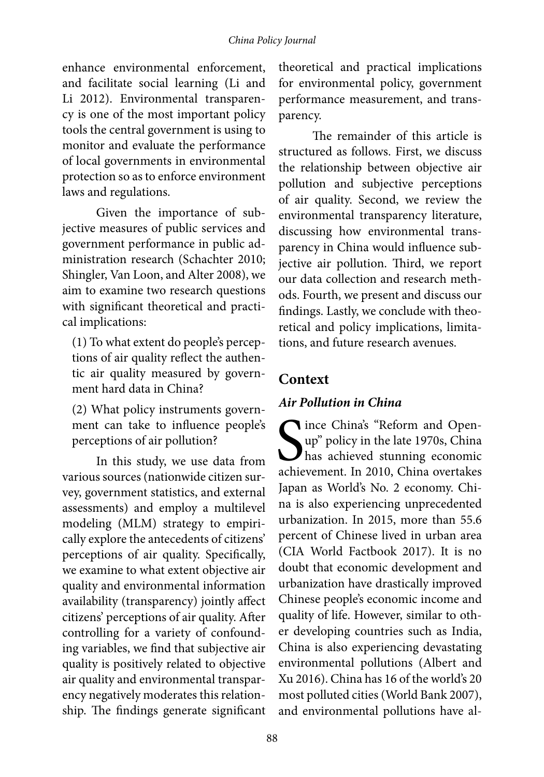enhance environmental enforcement, and facilitate social learning (Li and Li 2012). Environmental transparency is one of the most important policy tools the central government is using to monitor and evaluate the performance of local governments in environmental protection so as to enforce environment laws and regulations.

Given the importance of subjective measures of public services and government performance in public administration research (Schachter 2010; Shingler, Van Loon, and Alter 2008), we aim to examine two research questions with significant theoretical and practical implications:

(1) To what extent do people's perceptions of air quality reflect the authentic air quality measured by government hard data in China?

(2) What policy instruments government can take to influence people's perceptions of air pollution?

In this study, we use data from various sources (nationwide citizen survey, government statistics, and external assessments) and employ a multilevel modeling (MLM) strategy to empirically explore the antecedents of citizens' perceptions of air quality. Specifically, we examine to what extent objective air quality and environmental information availability (transparency) jointly affect citizens' perceptions of air quality. After controlling for a variety of confounding variables, we find that subjective air quality is positively related to objective air quality and environmental transparency negatively moderates this relationship. The findings generate significant

theoretical and practical implications for environmental policy, government performance measurement, and transparency.

The remainder of this article is structured as follows. First, we discuss the relationship between objective air pollution and subjective perceptions of air quality. Second, we review the environmental transparency literature, discussing how environmental transparency in China would influence subjective air pollution. Third, we report our data collection and research methods. Fourth, we present and discuss our findings. Lastly, we conclude with theoretical and policy implications, limitations, and future research avenues.

# **Context**

## *Air Pollution in China*

S<sub>achie</sub> **T** ince China's "Reform and Openup" policy in the late 1970s, China has achieved stunning economic achievement. In 2010, China overtakes Japan as World's No. 2 economy. China is also experiencing unprecedented urbanization. In 2015, more than 55.6 percent of Chinese lived in urban area (CIA World Factbook 2017). It is no doubt that economic development and urbanization have drastically improved Chinese people's economic income and quality of life. However, similar to other developing countries such as India, China is also experiencing devastating environmental pollutions (Albert and Xu 2016). China has 16 of the world's 20 most polluted cities (World Bank 2007), and environmental pollutions have al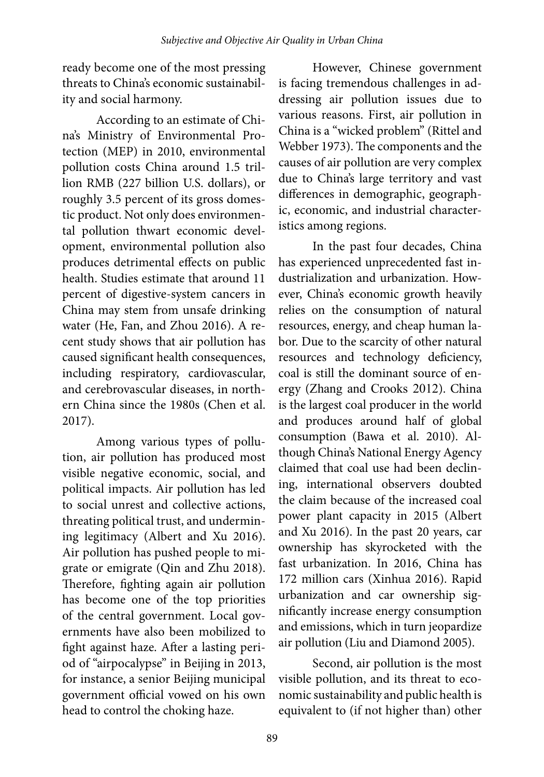ready become one of the most pressing threats to China's economic sustainability and social harmony.

According to an estimate of China's Ministry of Environmental Protection (MEP) in 2010, environmental pollution costs China around 1.5 trillion RMB (227 billion U.S. dollars), or roughly 3.5 percent of its gross domestic product. Not only does environmental pollution thwart economic development, environmental pollution also produces detrimental effects on public health. Studies estimate that around 11 percent of digestive-system cancers in China may stem from unsafe drinking water (He, Fan, and Zhou 2016). A recent study shows that air pollution has caused significant health consequences, including respiratory, cardiovascular, and cerebrovascular diseases, in northern China since the 1980s (Chen et al. 2017).

Among various types of pollution, air pollution has produced most visible negative economic, social, and political impacts. Air pollution has led to social unrest and collective actions, threating political trust, and undermining legitimacy (Albert and Xu 2016). Air pollution has pushed people to migrate or emigrate (Qin and Zhu 2018). Therefore, fighting again air pollution has become one of the top priorities of the central government. Local governments have also been mobilized to fight against haze. After a lasting period of "airpocalypse" in Beijing in 2013, for instance, a senior Beijing municipal government official vowed on his own head to control the choking haze.

However, Chinese government is facing tremendous challenges in addressing air pollution issues due to various reasons. First, air pollution in China is a "wicked problem" (Rittel and Webber 1973). The components and the causes of air pollution are very complex due to China's large territory and vast differences in demographic, geographic, economic, and industrial characteristics among regions.

In the past four decades, China has experienced unprecedented fast industrialization and urbanization. However, China's economic growth heavily relies on the consumption of natural resources, energy, and cheap human labor. Due to the scarcity of other natural resources and technology deficiency, coal is still the dominant source of energy (Zhang and Crooks 2012). China is the largest coal producer in the world and produces around half of global consumption (Bawa et al. 2010). Although China's National Energy Agency claimed that coal use had been declining, international observers doubted the claim because of the increased coal power plant capacity in 2015 (Albert and Xu 2016). In the past 20 years, car ownership has skyrocketed with the fast urbanization. In 2016, China has 172 million cars (Xinhua 2016). Rapid urbanization and car ownership significantly increase energy consumption and emissions, which in turn jeopardize air pollution (Liu and Diamond 2005).

Second, air pollution is the most visible pollution, and its threat to economic sustainability and public health is equivalent to (if not higher than) other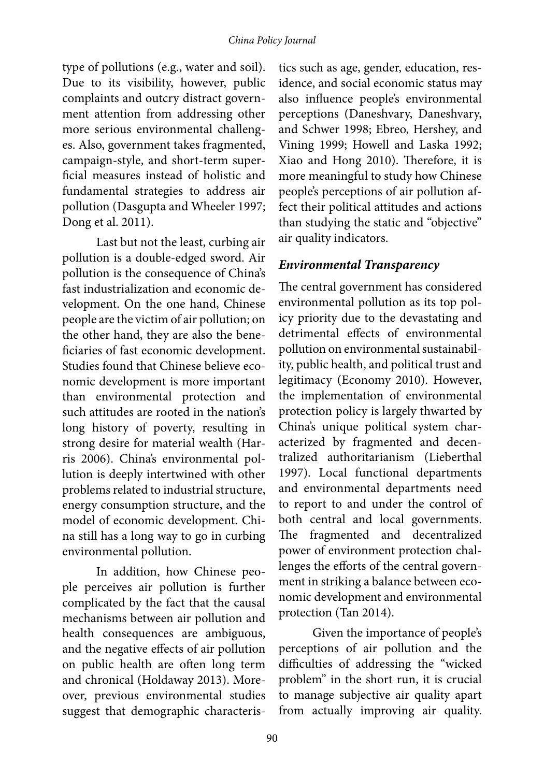type of pollutions (e.g., water and soil). Due to its visibility, however, public complaints and outcry distract government attention from addressing other more serious environmental challenges. Also, government takes fragmented, campaign-style, and short-term superficial measures instead of holistic and fundamental strategies to address air pollution (Dasgupta and Wheeler 1997; Dong et al. 2011).

Last but not the least, curbing air pollution is a double-edged sword. Air pollution is the consequence of China's fast industrialization and economic development. On the one hand, Chinese people are the victim of air pollution; on the other hand, they are also the beneficiaries of fast economic development. Studies found that Chinese believe economic development is more important than environmental protection and such attitudes are rooted in the nation's long history of poverty, resulting in strong desire for material wealth (Harris 2006). China's environmental pollution is deeply intertwined with other problems related to industrial structure, energy consumption structure, and the model of economic development. China still has a long way to go in curbing environmental pollution.

In addition, how Chinese people perceives air pollution is further complicated by the fact that the causal mechanisms between air pollution and health consequences are ambiguous, and the negative effects of air pollution on public health are often long term and chronical (Holdaway 2013). Moreover, previous environmental studies suggest that demographic characteristics such as age, gender, education, residence, and social economic status may also influence people's environmental perceptions (Daneshvary, Daneshvary, and Schwer 1998; Ebreo, Hershey, and Vining 1999; Howell and Laska 1992; Xiao and Hong 2010). Therefore, it is more meaningful to study how Chinese people's perceptions of air pollution affect their political attitudes and actions than studying the static and "objective" air quality indicators.

### *Environmental Transparency*

The central government has considered environmental pollution as its top policy priority due to the devastating and detrimental effects of environmental pollution on environmental sustainability, public health, and political trust and legitimacy (Economy 2010). However, the implementation of environmental protection policy is largely thwarted by China's unique political system characterized by fragmented and decentralized authoritarianism (Lieberthal 1997). Local functional departments and environmental departments need to report to and under the control of both central and local governments. The fragmented and decentralized power of environment protection challenges the efforts of the central government in striking a balance between economic development and environmental protection (Tan 2014).

Given the importance of people's perceptions of air pollution and the difficulties of addressing the "wicked problem" in the short run, it is crucial to manage subjective air quality apart from actually improving air quality.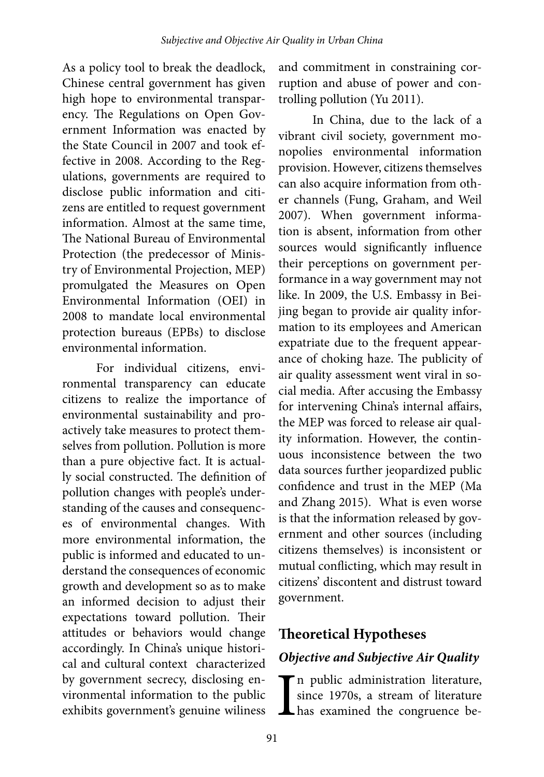As a policy tool to break the deadlock, Chinese central government has given high hope to environmental transparency. The Regulations on Open Government Information was enacted by the State Council in 2007 and took effective in 2008. According to the Regulations, governments are required to disclose public information and citizens are entitled to request government information. Almost at the same time, The National Bureau of Environmental Protection (the predecessor of Ministry of Environmental Projection, MEP) promulgated the Measures on Open Environmental Information (OEI) in 2008 to mandate local environmental protection bureaus (EPBs) to disclose environmental information.

For individual citizens, environmental transparency can educate citizens to realize the importance of environmental sustainability and proactively take measures to protect themselves from pollution. Pollution is more than a pure objective fact. It is actually social constructed. The definition of pollution changes with people's understanding of the causes and consequences of environmental changes. With more environmental information, the public is informed and educated to understand the consequences of economic growth and development so as to make an informed decision to adjust their expectations toward pollution. Their attitudes or behaviors would change accordingly. In China's unique historical and cultural context characterized by government secrecy, disclosing environmental information to the public exhibits government's genuine wiliness

and commitment in constraining corruption and abuse of power and controlling pollution (Yu 2011).

In China, due to the lack of a vibrant civil society, government monopolies environmental information provision. However, citizens themselves can also acquire information from other channels (Fung, Graham, and Weil 2007). When government information is absent, information from other sources would significantly influence their perceptions on government performance in a way government may not like. In 2009, the U.S. Embassy in Beijing began to provide air quality information to its employees and American expatriate due to the frequent appearance of choking haze. The publicity of air quality assessment went viral in social media. After accusing the Embassy for intervening China's internal affairs, the MEP was forced to release air quality information. However, the continuous inconsistence between the two data sources further jeopardized public confidence and trust in the MEP (Ma and Zhang 2015). What is even worse is that the information released by government and other sources (including citizens themselves) is inconsistent or mutual conflicting, which may result in citizens' discontent and distrust toward government.

# **Theoretical Hypotheses**

## *Objective and Subjective Air Quality*

In public administration literature,<br>since 1970s, a stream of literature<br>has examined the congruence besince 1970s, a stream of literature has examined the congruence be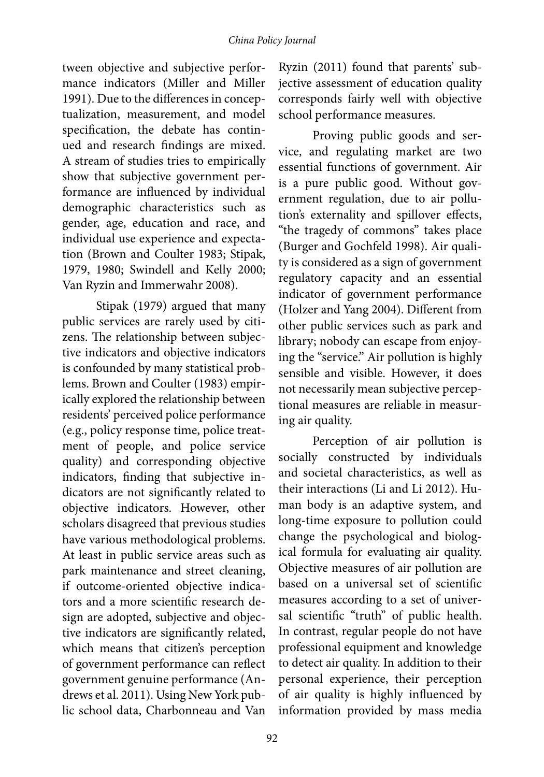tween objective and subjective performance indicators (Miller and Miller 1991). Due to the differences in conceptualization, measurement, and model specification, the debate has continued and research findings are mixed. A stream of studies tries to empirically show that subjective government performance are influenced by individual demographic characteristics such as gender, age, education and race, and individual use experience and expectation (Brown and Coulter 1983; Stipak, 1979, 1980; Swindell and Kelly 2000; Van Ryzin and Immerwahr 2008).

Stipak (1979) argued that many public services are rarely used by citizens. The relationship between subjective indicators and objective indicators is confounded by many statistical problems. Brown and Coulter (1983) empirically explored the relationship between residents' perceived police performance (e.g., policy response time, police treatment of people, and police service quality) and corresponding objective indicators, finding that subjective indicators are not significantly related to objective indicators. However, other scholars disagreed that previous studies have various methodological problems. At least in public service areas such as park maintenance and street cleaning, if outcome-oriented objective indicators and a more scientific research design are adopted, subjective and objective indicators are significantly related, which means that citizen's perception of government performance can reflect government genuine performance (Andrews et al. 2011). Using New York public school data, Charbonneau and Van

Ryzin (2011) found that parents' subjective assessment of education quality corresponds fairly well with objective school performance measures.

Proving public goods and service, and regulating market are two essential functions of government. Air is a pure public good. Without government regulation, due to air pollution's externality and spillover effects, "the tragedy of commons" takes place (Burger and Gochfeld 1998). Air quality is considered as a sign of government regulatory capacity and an essential indicator of government performance (Holzer and Yang 2004). Different from other public services such as park and library; nobody can escape from enjoying the "service." Air pollution is highly sensible and visible. However, it does not necessarily mean subjective perceptional measures are reliable in measuring air quality.

Perception of air pollution is socially constructed by individuals and societal characteristics, as well as their interactions (Li and Li 2012). Human body is an adaptive system, and long-time exposure to pollution could change the psychological and biological formula for evaluating air quality. Objective measures of air pollution are based on a universal set of scientific measures according to a set of universal scientific "truth" of public health. In contrast, regular people do not have professional equipment and knowledge to detect air quality. In addition to their personal experience, their perception of air quality is highly influenced by information provided by mass media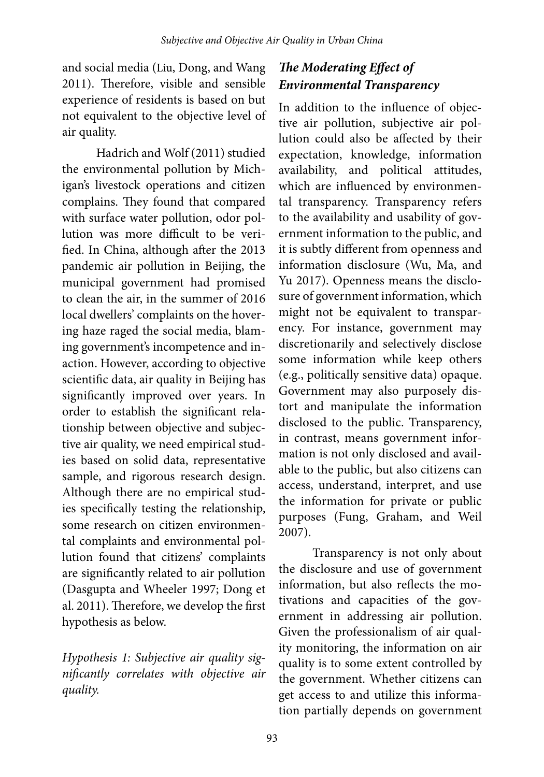and social media (Liu, Dong, and Wang 2011). Therefore, visible and sensible experience of residents is based on but not equivalent to the objective level of air quality.

Hadrich and Wolf (2011) studied the environmental pollution by Michigan's livestock operations and citizen complains. They found that compared with surface water pollution, odor pollution was more difficult to be verified. In China, although after the 2013 pandemic air pollution in Beijing, the municipal government had promised to clean the air, in the summer of 2016 local dwellers' complaints on the hovering haze raged the social media, blaming government's incompetence and inaction. However, according to objective scientific data, air quality in Beijing has significantly improved over years. In order to establish the significant relationship between objective and subjective air quality, we need empirical studies based on solid data, representative sample, and rigorous research design. Although there are no empirical studies specifically testing the relationship, some research on citizen environmental complaints and environmental pollution found that citizens' complaints are significantly related to air pollution (Dasgupta and Wheeler 1997; Dong et al. 2011). Therefore, we develop the first hypothesis as below.

*Hypothesis 1: Subjective air quality significantly correlates with objective air quality.* 

# *The Moderating Effect of Environmental Transparency*

In addition to the influence of objective air pollution, subjective air pollution could also be affected by their expectation, knowledge, information availability, and political attitudes, which are influenced by environmental transparency. Transparency refers to the availability and usability of government information to the public, and it is subtly different from openness and information disclosure (Wu, Ma, and Yu 2017). Openness means the disclosure of government information, which might not be equivalent to transparency. For instance, government may discretionarily and selectively disclose some information while keep others (e.g., politically sensitive data) opaque. Government may also purposely distort and manipulate the information disclosed to the public. Transparency, in contrast, means government information is not only disclosed and available to the public, but also citizens can access, understand, interpret, and use the information for private or public purposes (Fung, Graham, and Weil 2007).

Transparency is not only about the disclosure and use of government information, but also reflects the motivations and capacities of the government in addressing air pollution. Given the professionalism of air quality monitoring, the information on air quality is to some extent controlled by the government. Whether citizens can get access to and utilize this information partially depends on government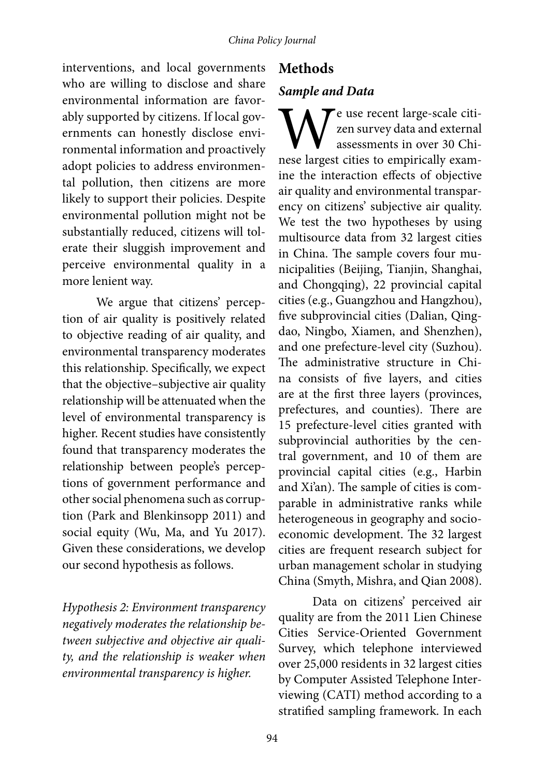interventions, and local governments who are willing to disclose and share environmental information are favorably supported by citizens. If local governments can honestly disclose environmental information and proactively adopt policies to address environmental pollution, then citizens are more likely to support their policies. Despite environmental pollution might not be substantially reduced, citizens will tolerate their sluggish improvement and perceive environmental quality in a more lenient way.

We argue that citizens' perception of air quality is positively related to objective reading of air quality, and environmental transparency moderates this relationship. Specifically, we expect that the objective–subjective air quality relationship will be attenuated when the level of environmental transparency is higher. Recent studies have consistently found that transparency moderates the relationship between people's perceptions of government performance and other social phenomena such as corruption (Park and Blenkinsopp 2011) and social equity (Wu, Ma, and Yu 2017). Given these considerations, we develop our second hypothesis as follows.

*Hypothesis 2: Environment transparency negatively moderates the relationship between subjective and objective air quality, and the relationship is weaker when environmental transparency is higher.* 

## **Methods**

### *Sample and Data*

We use recent large-scale citi-<br>zen survey data and external<br>assessments in over 30 Chi-<br>nese largest cities to empirically examzen survey data and external assessments in over 30 Chiine the interaction effects of objective air quality and environmental transparency on citizens' subjective air quality. We test the two hypotheses by using multisource data from 32 largest cities in China. The sample covers four municipalities (Beijing, Tianjin, Shanghai, and Chongqing), 22 provincial capital cities (e.g., Guangzhou and Hangzhou), five subprovincial cities (Dalian, Qingdao, Ningbo, Xiamen, and Shenzhen), and one prefecture-level city (Suzhou). The administrative structure in China consists of five layers, and cities are at the first three layers (provinces, prefectures, and counties). There are 15 prefecture-level cities granted with subprovincial authorities by the central government, and 10 of them are provincial capital cities (e.g., Harbin and Xi'an). The sample of cities is comparable in administrative ranks while heterogeneous in geography and socioeconomic development. The 32 largest cities are frequent research subject for urban management scholar in studying China (Smyth, Mishra, and Qian 2008).

Data on citizens' perceived air quality are from the 2011 Lien Chinese Cities Service-Oriented Government Survey, which telephone interviewed over 25,000 residents in 32 largest cities by Computer Assisted Telephone Interviewing (CATI) method according to a stratified sampling framework. In each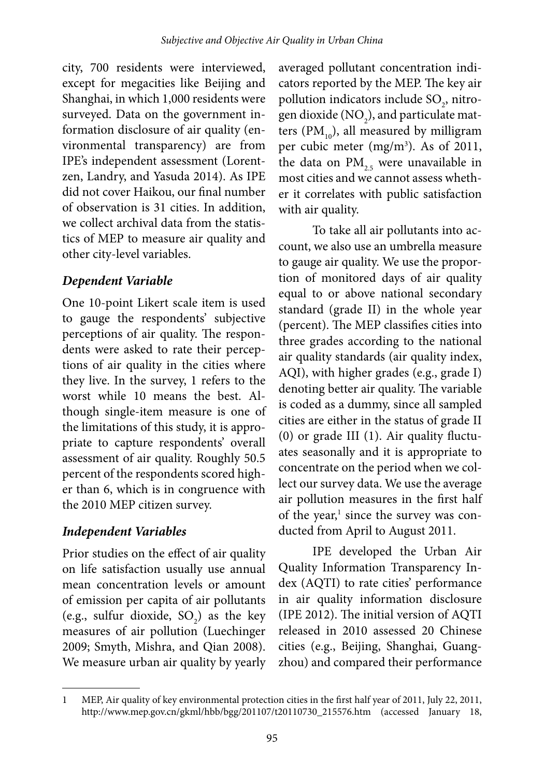city, 700 residents were interviewed, except for megacities like Beijing and Shanghai, in which 1,000 residents were surveyed. Data on the government information disclosure of air quality (environmental transparency) are from IPE's independent assessment (Lorentzen, Landry, and Yasuda 2014). As IPE did not cover Haikou, our final number of observation is 31 cities. In addition, we collect archival data from the statistics of MEP to measure air quality and other city-level variables.

### *Dependent Variable*

One 10-point Likert scale item is used to gauge the respondents' subjective perceptions of air quality. The respondents were asked to rate their perceptions of air quality in the cities where they live. In the survey, 1 refers to the worst while 10 means the best. Although single-item measure is one of the limitations of this study, it is appropriate to capture respondents' overall assessment of air quality. Roughly 50.5 percent of the respondents scored higher than 6, which is in congruence with the 2010 MEP citizen survey.

### *Independent Variables*

Prior studies on the effect of air quality on life satisfaction usually use annual mean concentration levels or amount of emission per capita of air pollutants (e.g., sulfur dioxide,  $SO_2$ ) as the key measures of air pollution (Luechinger 2009; Smyth, Mishra, and Qian 2008). We measure urban air quality by yearly

averaged pollutant concentration indicators reported by the MEP. The key air pollution indicators include SO<sub>2</sub>, nitrogen dioxide (NO<sub>2</sub>), and particulate matters ( $PM_{10}$ ), all measured by milligram per cubic meter (mg/m<sup>3</sup>). As of 2011, the data on  $PM_{25}$  were unavailable in most cities and we cannot assess whether it correlates with public satisfaction with air quality.

To take all air pollutants into account, we also use an umbrella measure to gauge air quality. We use the proportion of monitored days of air quality equal to or above national secondary standard (grade II) in the whole year (percent). The MEP classifies cities into three grades according to the national air quality standards (air quality index, AQI), with higher grades (e.g., grade I) denoting better air quality. The variable is coded as a dummy, since all sampled cities are either in the status of grade II (0) or grade III (1). Air quality fluctuates seasonally and it is appropriate to concentrate on the period when we collect our survey data. We use the average air pollution measures in the first half of the year,<sup>1</sup> since the survey was conducted from April to August 2011.

IPE developed the Urban Air Quality Information Transparency Index (AQTI) to rate cities' performance in air quality information disclosure (IPE 2012). The initial version of AQTI released in 2010 assessed 20 Chinese cities (e.g., Beijing, Shanghai, Guangzhou) and compared their performance

<sup>1</sup> MEP, Air quality of key environmental protection cities in the first half year of 2011, July 22, 2011, http://www.mep.gov.cn/gkml/hbb/bgg/201107/t20110730\_215576.htm (accessed January 18,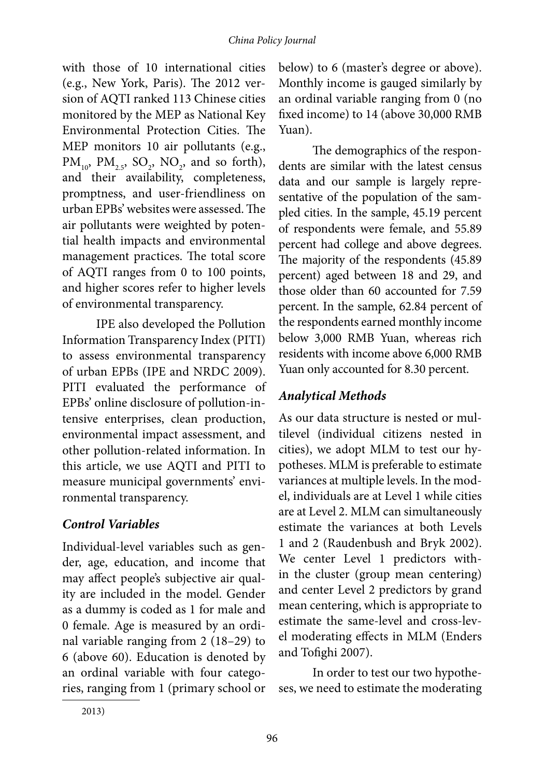with those of 10 international cities (e.g., New York, Paris). The 2012 version of AQTI ranked 113 Chinese cities monitored by the MEP as National Key Environmental Protection Cities. The MEP monitors 10 air pollutants (e.g.,  $PM_{10}$ ,  $PM_{2.5}$ ,  $SO_2$ ,  $NO_2$ , and so forth), and their availability, completeness, promptness, and user-friendliness on urban EPBs' websites were assessed. The air pollutants were weighted by potential health impacts and environmental management practices. The total score of AQTI ranges from 0 to 100 points, and higher scores refer to higher levels of environmental transparency.

IPE also developed the Pollution Information Transparency Index (PITI) to assess environmental transparency of urban EPBs (IPE and NRDC 2009). PITI evaluated the performance of EPBs' online disclosure of pollution-intensive enterprises, clean production, environmental impact assessment, and other pollution-related information. In this article, we use AQTI and PITI to measure municipal governments' environmental transparency.

# *Control Variables*

Individual-level variables such as gender, age, education, and income that may affect people's subjective air quality are included in the model. Gender as a dummy is coded as 1 for male and 0 female. Age is measured by an ordinal variable ranging from 2 (18–29) to 6 (above 60). Education is denoted by an ordinal variable with four categories, ranging from 1 (primary school or below) to 6 (master's degree or above). Monthly income is gauged similarly by an ordinal variable ranging from 0 (no fixed income) to 14 (above 30,000 RMB Yuan).

The demographics of the respondents are similar with the latest census data and our sample is largely representative of the population of the sampled cities. In the sample, 45.19 percent of respondents were female, and 55.89 percent had college and above degrees. The majority of the respondents (45.89 percent) aged between 18 and 29, and those older than 60 accounted for 7.59 percent. In the sample, 62.84 percent of the respondents earned monthly income below 3,000 RMB Yuan, whereas rich residents with income above 6,000 RMB Yuan only accounted for 8.30 percent.

# *Analytical Methods*

As our data structure is nested or multilevel (individual citizens nested in cities), we adopt MLM to test our hypotheses. MLM is preferable to estimate variances at multiple levels. In the model, individuals are at Level 1 while cities are at Level 2. MLM can simultaneously estimate the variances at both Levels 1 and 2 (Raudenbush and Bryk 2002). We center Level 1 predictors within the cluster (group mean centering) and center Level 2 predictors by grand mean centering, which is appropriate to estimate the same-level and cross-level moderating effects in MLM (Enders and Tofighi 2007).

In order to test our two hypotheses, we need to estimate the moderating

<sup>2013)</sup>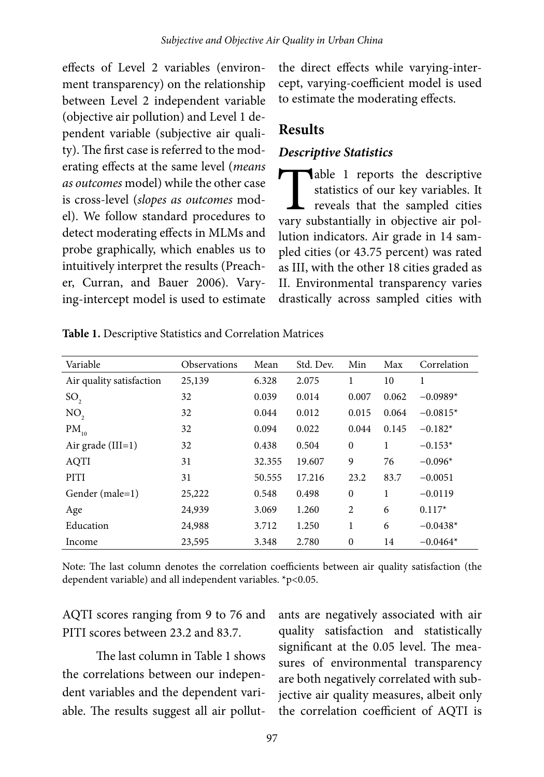effects of Level 2 variables (environment transparency) on the relationship between Level 2 independent variable (objective air pollution) and Level 1 dependent variable (subjective air quality). The first case is referred to the moderating effects at the same level (*means as outcomes* model) while the other case is cross-level (*slopes as outcomes* model). We follow standard procedures to detect moderating effects in MLMs and probe graphically, which enables us to intuitively interpret the results (Preacher, Curran, and Bauer 2006). Varying-intercept model is used to estimate the direct effects while varying-intercept, varying-coefficient model is used to estimate the moderating effects.

# **Results**

### *Descriptive Statistics*

Table 1 reports the descriptive<br>statistics of our key variables. It<br>reveals that the sampled cities<br>vary substantially in objective air polstatistics of our key variables. It reveals that the sampled cities vary substantially in objective air pollution indicators. Air grade in 14 sampled cities (or 43.75 percent) was rated as III, with the other 18 cities graded as II. Environmental transparency varies drastically across sampled cities with

| Variable                 | <b>Observations</b> | Mean   | Std. Dev. | Min            | Max   | Correlation |
|--------------------------|---------------------|--------|-----------|----------------|-------|-------------|
| Air quality satisfaction | 25,139              | 6.328  | 2.075     | 1              | 10    | 1           |
| SO <sub>2</sub>          | 32                  | 0.039  | 0.014     | 0.007          | 0.062 | $-0.0989*$  |
| NO <sub>2</sub>          | 32                  | 0.044  | 0.012     | 0.015          | 0.064 | $-0.0815*$  |
| $PM_{10}$                | 32                  | 0.094  | 0.022     | 0.044          | 0.145 | $-0.182*$   |
| Air grade $(III=1)$      | 32                  | 0.438  | 0.504     | $\mathbf{0}$   | 1     | $-0.153*$   |
| AQTI                     | 31                  | 32.355 | 19.607    | 9              | 76    | $-0.096*$   |
| PITI                     | 31                  | 50.555 | 17.216    | 23.2           | 83.7  | $-0.0051$   |
| Gender (male=1)          | 25,222              | 0.548  | 0.498     | $\mathbf{0}$   | 1     | $-0.0119$   |
| Age                      | 24,939              | 3.069  | 1.260     | $\overline{2}$ | 6     | $0.117*$    |
| Education                | 24,988              | 3.712  | 1.250     | 1              | 6     | $-0.0438*$  |
| Income                   | 23,595              | 3.348  | 2.780     | $\theta$       | 14    | $-0.0464*$  |

**Table 1.** Descriptive Statistics and Correlation Matrices

Note: The last column denotes the correlation coefficients between air quality satisfaction (the dependent variable) and all independent variables. \*p<0.05.

AQTI scores ranging from 9 to 76 and PITI scores between 23.2 and 83.7.

The last column in Table 1 shows the correlations between our independent variables and the dependent variable. The results suggest all air pollut-

ants are negatively associated with air quality satisfaction and statistically significant at the 0.05 level. The measures of environmental transparency are both negatively correlated with subjective air quality measures, albeit only the correlation coefficient of AQTI is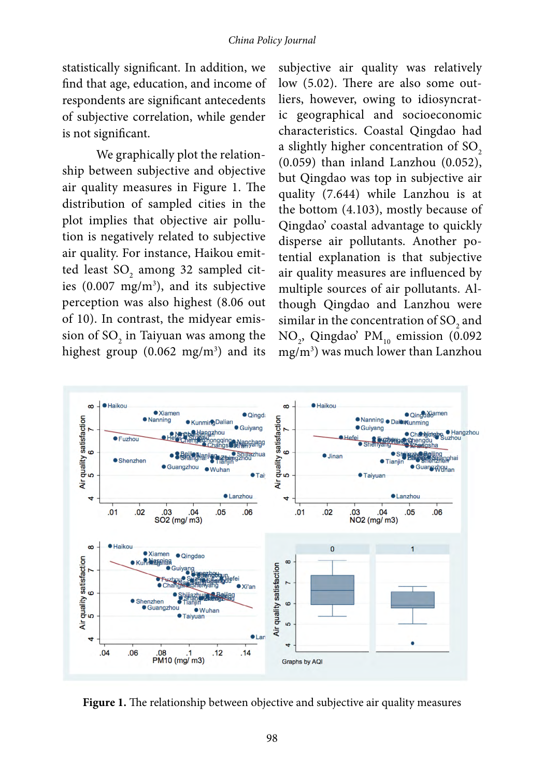#### *China Policy Journal*

statistically significant. In addition, we find that age, education, and income of respondents are significant antecedents of subjective correlation, while gender is not significant.

We graphically plot the relationship between subjective and objective air quality measures in Figure 1. The distribution of sampled cities in the plot implies that objective air pollution is negatively related to subjective air quality. For instance, Haikou emitted least  $\mathrm{SO}_2$  among 32 sampled cities  $(0.007 \text{ mg/m}^3)$ , and its subjective perception was also highest (8.06 out of 10). In contrast, the midyear emission of  $\mathrm{SO}_2$  in Taiyuan was among the highest group  $(0.062 \text{ mg/m}^3)$  and its

subjective air quality was relatively low (5.02). There are also some outliers, however, owing to idiosyncratic geographical and socioeconomic characteristics. Coastal Qingdao had a slightly higher concentration of  $SO<sub>2</sub>$ (0.059) than inland Lanzhou (0.052), but Qingdao was top in subjective air quality (7.644) while Lanzhou is at the bottom (4.103), mostly because of Qingdao' coastal advantage to quickly disperse air pollutants. Another potential explanation is that subjective air quality measures are influenced by multiple sources of air pollutants. Although Qingdao and Lanzhou were similar in the concentration of SO<sub>2</sub> and NO<sub>2</sub>, Qingdao' PM<sub>10</sub> emission (0.092) mg/m3 ) was much lower than Lanzhou



**Figure 1.** The relationship between objective and subjective air quality measures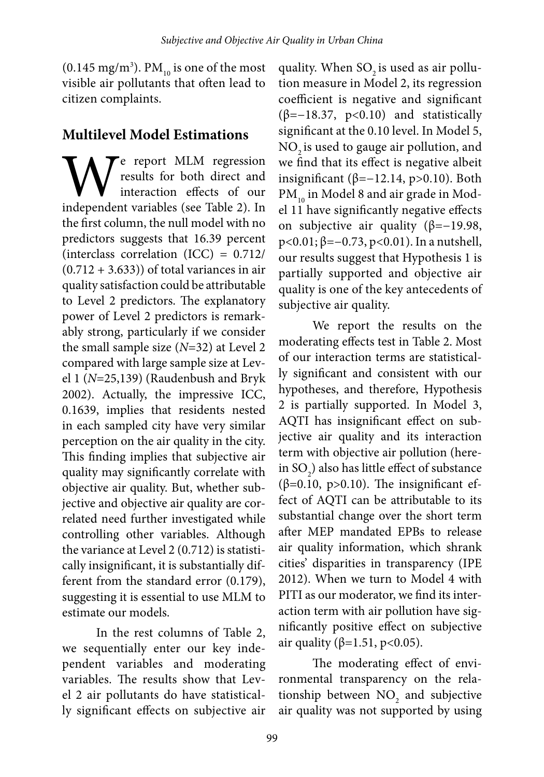(0.145 mg/m<sup>3</sup>). PM<sub>10</sub> is one of the most visible air pollutants that often lead to citizen complaints.

# **Multilevel Model Estimations**

We report MLM regression<br>
interaction effects of our<br>
independent variables (see Table 2). In results for both direct and interaction effects of our the first column, the null model with no predictors suggests that 16.39 percent (interclass correlation (ICC) = 0.712/  $(0.712 + 3.633)$  of total variances in air quality satisfaction could be attributable to Level 2 predictors. The explanatory power of Level 2 predictors is remarkably strong, particularly if we consider the small sample size (*N*=32) at Level 2 compared with large sample size at Level 1 (*N*=25,139) (Raudenbush and Bryk 2002). Actually, the impressive ICC, 0.1639, implies that residents nested in each sampled city have very similar perception on the air quality in the city. This finding implies that subjective air quality may significantly correlate with objective air quality. But, whether subjective and objective air quality are correlated need further investigated while controlling other variables. Although the variance at Level 2 (0.712) is statistically insignificant, it is substantially different from the standard error (0.179), suggesting it is essential to use MLM to estimate our models.

In the rest columns of Table 2, we sequentially enter our key independent variables and moderating variables. The results show that Level 2 air pollutants do have statistically significant effects on subjective air quality. When  $SO<sub>2</sub>$  is used as air pollution measure in Model 2, its regression coefficient is negative and significant (β=−18.37, p<0.10) and statistically significant at the 0.10 level. In Model 5, NO<sub>2</sub> is used to gauge air pollution, and we find that its effect is negative albeit insignificant ( $β=-12.14$ , p>0.10). Both PM<sub>10</sub> in Model 8 and air grade in Model 11 have significantly negative effects on subjective air quality ( $\beta$ =−19.98, p<0.01; β=−0.73, p<0.01). In a nutshell, our results suggest that Hypothesis 1 is partially supported and objective air quality is one of the key antecedents of subjective air quality.

We report the results on the moderating effects test in Table 2. Most of our interaction terms are statistically significant and consistent with our hypotheses, and therefore, Hypothesis 2 is partially supported. In Model 3, AQTI has insignificant effect on subjective air quality and its interaction term with objective air pollution (herein SO<sub>2</sub>) also has little effect of substance ( $β=0.10$ ,  $p>0.10$ ). The insignificant effect of AQTI can be attributable to its substantial change over the short term after MEP mandated EPBs to release air quality information, which shrank cities' disparities in transparency (IPE 2012). When we turn to Model 4 with PITI as our moderator, we find its interaction term with air pollution have significantly positive effect on subjective air quality (β=1.51, p<0.05).

The moderating effect of environmental transparency on the relationship between  $NO<sub>2</sub>$  and subjective air quality was not supported by using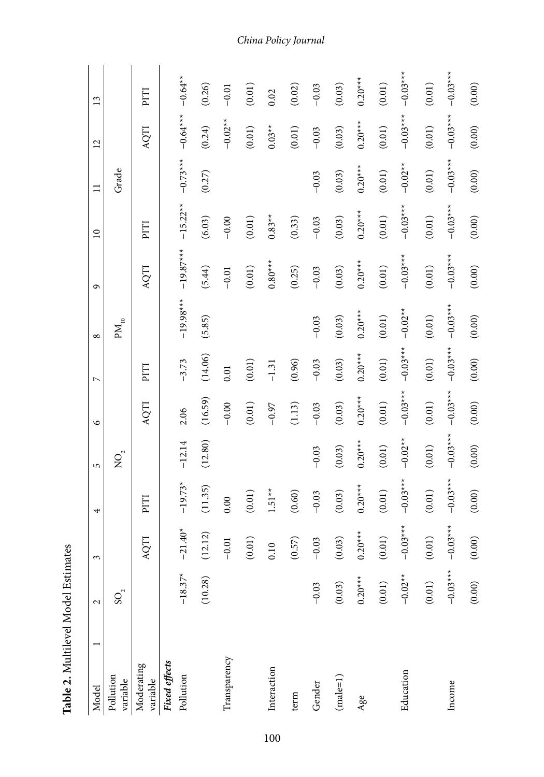| Model                  | $\mathbf 2$           | 3               | 4          | 5                                      | 9          | $\overline{a}$ | $\infty$           | ٩           | $\overline{10}$ | $\equiv$   | $\overline{2}$ | 13          |
|------------------------|-----------------------|-----------------|------------|----------------------------------------|------------|----------------|--------------------|-------------|-----------------|------------|----------------|-------------|
| Pollution<br>variable  | $SO_2$                |                 |            | $\mathop{{\rm SO}}\nolimits_2^{\circ}$ |            |                | $\mathrm{PM_{10}}$ |             |                 | Grade      |                |             |
| Moderating<br>variable |                       | AQTI            | PITI       |                                        | AQTI       | PITI           |                    | AQTI        | FIId            |            | AQTI           | PITI        |
| <b>Fixed effects</b>   |                       |                 |            |                                        |            |                |                    |             |                 |            |                |             |
| Pollution              | $-18.37*$             | $40^*$<br>$-21$ | $-19.73*$  | $-12.14$                               | 2.06       | $-3.73$        | $-19.98***$        | $-19.87***$ | $-15.22**$      | $-0.73***$ | $-0.64***$     | $-0.64**$   |
|                        | (10.28)               | (12.12)         | (11.35)    | (12.80)                                | (16.59)    | (14.06)        | (5.85)             | (5.44)      | (6.03)          | (0.27)     | (0.24)         | (0.26)      |
| Transparency           |                       | $-0.01$         | 0.00       |                                        | $-0.00$    | $0.01\,$       |                    | $-0.01$     | $-0.00$         |            | $-0.02**$      | $-0.01$     |
|                        |                       | (0.01)          | $(0.01)$   |                                        | $(0.01)$   | (0.01)         |                    | $(0.01)$    | $(0.01)$        |            | $(0.01)$       | (0.01)      |
| Interaction            |                       | 0.10            | $1.51**$   |                                        | $-0.97$    | $-1.31$        |                    | $0.80***$   | $0.83**$        |            | $0.03**$       | 0.02        |
| term                   |                       | (0.57)          | (0.60)     |                                        | (1.13)     | (0.96)         |                    | (0.25)      | (0.33)          |            | (0.01)         | (0.02)      |
| Gender                 | $-0.03$               | $-0.03$         | $-0.03$    | $-0.03$                                | $-0.03$    | $-0.03$        | $-0.03$            | $-0.03$     | $-0.03$         | $-0.03$    | $-0.03$        | $-0.03$     |
| $(male=1)$             | (0.03)                | (0.03)          | (0.03)     | (0.03)                                 | (0.03)     | (0.03)         | (0.03)             | (0.03)      | (0.03)          | (0.03)     | (0.03)         | (0.03)      |
| Age                    | $0.20***$             | $0.20***$       | $0.20***$  | $0.20***$                              | $0.20***$  | $0.20***$      | $0.20***$          | $0.20***$   | $0.20***$       | $0.20***$  | $0.20***$      | $0.20***$   |
|                        | (0.01)                | (0.01)          | $(0.01)$   | (0.01)                                 | (0.01)     | (0.01)         | $(0.01)$           | (0.01)      | (0.01)          | (0.01)     | $(0.01)$       | (0.01)      |
| Education              | $-0.02$ <sup>**</sup> | $-0.03***$      | $-0.03***$ | $-0.02**$                              | $-0.03***$ | $-0.03***$     | $-0.02**$          | $-0.03$ *** | $-0.03***$      | $-0.02**$  | $-0.03***$     | $-0.03$ *** |
|                        | (0.01)                | (0.01)          | (0.01)     | (0.01)                                 | $(0.01)$   | (0.01)         | (0.01)             | $(0.01)$    | (0.01)          | (0.01)     | (0.01)         | (0.01)      |
| Income                 | $-0.03***$            | $-0.03$ **      | $-0.03***$ | $-0.03$ ***                            | $-0.03***$ | $-0.03***$     | $-0.03$ ***        | $-0.03***$  | $-0.03***$      | $-0.03$ ** | $-0.03***$     | $-0.03$ *** |
|                        | (0.00)                | (0.00)          | (0.00)     | (0.00)                                 | (0.00)     | (0.00)         | (0.00)             | (0.00)      | (0.00)          | (0.00)     | (0.00)         | (0.00)      |

Table 2. Multilevel Model Estimates **Table 2.** Multilevel Model Estimates

#### *China Policy Journal*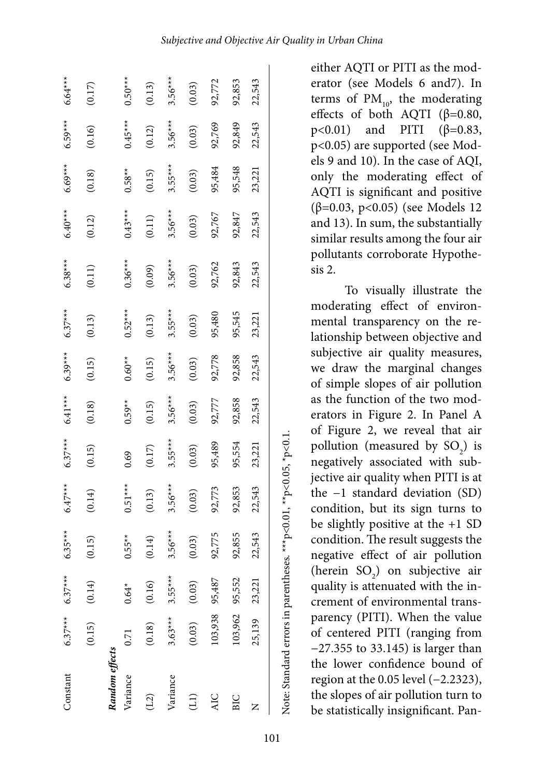| Constant          | $6.37***$      | $6.37***$ | $6.35***$     | $6.47***$ | $6.37***$ | $6.41***$ | $6.39***$ | $6.37***$ | $6.38***$ | $6.40***$ | $6.69***$ | $6.59***$ | $6.64***$ |
|-------------------|----------------|-----------|---------------|-----------|-----------|-----------|-----------|-----------|-----------|-----------|-----------|-----------|-----------|
|                   | (0.15)         | (0.14)    | (0.15)        | (0.14)    | (0.15)    | (0.18)    | (0.15)    | (0.13)    | (0.11)    | (0.12)    | (0.18)    | (0.16)    | (0.17)    |
| Random effects    |                |           |               |           |           |           |           |           |           |           |           |           |           |
| Variance          | 0.71           | $0.64*$   | $0.55**$      | $0.51***$ | 0.69      | $0.59**$  | $0.60**$  | $0.52***$ | $0.36***$ | $0.43***$ | $0.58**$  | $0.45***$ | $0.50***$ |
| (12)              | (0.18)         | (0.16)    | (0.14)        | (0.13)    | (0.17)    | (0.15)    | (0.15)    | (0.13)    | (0.09)    | (0.11)    | (0.15)    | (0.12)    | (0.13)    |
| Variance          | $3.63***$      | $3.55***$ | $.56***$<br>ς | $3.56***$ | $3.55***$ | $3.56***$ | $3.56***$ | $3.55***$ | $3.56***$ | $3.56***$ | $3.55***$ | $3.56***$ | $3.56***$ |
| $\left(11\right)$ | (0.03)         | (0.03)    | (0.03)        | (0.03)    | (0.03)    | (0.03)    | (0.03)    | (0.03)    | (0.03)    | (0.03)    | (0.03)    | (0.03)    | (0.03)    |
| <b>AIC</b>        | 103,938        | 95,487    | 92,775        | 92,773    | 95,489    | 92,777    | 92,778    | 95,480    | 92,762    | 92,767    | 95,484    | 92,769    | 92,772    |
| BIC               | 103,962 95,552 |           | 92,855        | 92,853    | 95,554    | 92,858    | 92,858    | 95,545    | 92,843    | 92,847    | 95,548    | 92,849    | 92,853    |
|                   | 25,139         | 23,221    | 22,543        | 22,543    | 23,221    | 22,543    | 22,543    | 23,221    | 22,543    | 22,543    | 23,221    | 22,543    | 22,543    |

101

Note: Standard errors in parentheses. \*\*\*p<0.01, \*\*p<0.05, \*p<0.1.

Note: Standard errors in parentheses. \*\*\*p<0.01, \*\*p<0.05, \*p<0.1.

either AQTI or PITI as the mod erator (see Models 6 and7). In terms of  $PM_{10}$ , the moderating effects of both AQTI ( $\beta$ =0.80, p<0.01) and PITI (β=0.83, p<0.05) are supported (see Mod els 9 and 10). In the case of AQI, only the moderating effect of AQTI is significant and positive (β=0.03, p<0.05) (see Models 12 and 13). In sum, the substantially similar results among the four air pollutants corroborate Hypothe sis 2.

To visually illustrate the moderating effect of environ mental transparency on the re lationship between objective and subjective air quality measures, we draw the marginal changes of simple slopes of air pollution as the function of the two mod erators in Figure 2. In Panel A of Figure 2, we reveal that air pollution (measured by  $SO_2$ ) is negatively associated with sub jective air quality when PITI is at the −1 standard deviation (SD) condition, but its sign turns to be slightly positive at the +1 SD condition. The result suggests the negative effect of air pollution (herein SO 2 ) on subjective air quality is attenuated with the in crement of environmental trans parency (PITI). When the value of centered PITI (ranging from −27.355 to 33.145) is larger than the lower confidence bound of region at the 0.05 level (−2.2323), the slopes of air pollution turn to be statistically insignificant. Pan -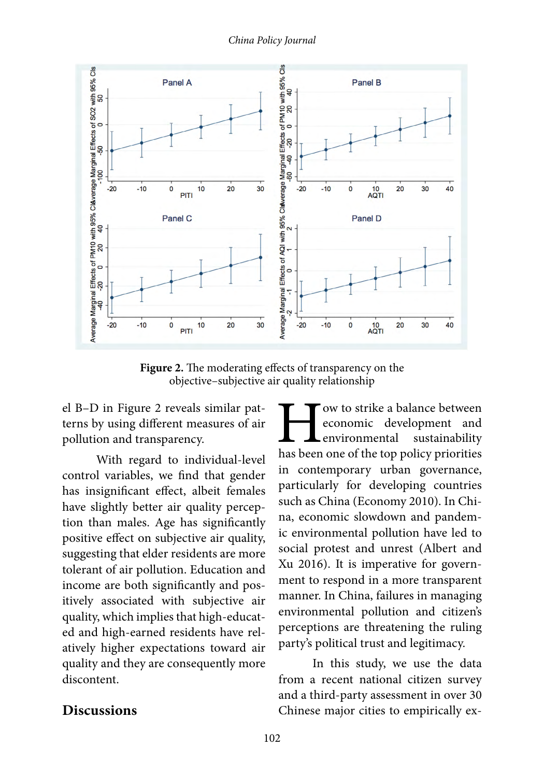

**Figure 2.** The moderating effects of transparency on the objective–subjective air quality relationship

el B–D in Figure 2 reveals similar patterns by using different measures of air pollution and transparency.

With regard to individual-level control variables, we find that gender has insignificant effect, albeit females have slightly better air quality perception than males. Age has significantly positive effect on subjective air quality, suggesting that elder residents are more tolerant of air pollution. Education and income are both significantly and positively associated with subjective air quality, which implies that high-educated and high-earned residents have relatively higher expectations toward air quality and they are consequently more discontent.

**How to strike a balance between**<br>
economic development and<br>
environmental sustainability<br>
has been one of the top policy priorities economic development and environmental sustainability in contemporary urban governance, particularly for developing countries such as China (Economy 2010). In China, economic slowdown and pandemic environmental pollution have led to social protest and unrest (Albert and Xu 2016). It is imperative for government to respond in a more transparent manner. In China, failures in managing environmental pollution and citizen's perceptions are threatening the ruling party's political trust and legitimacy.

In this study, we use the data from a recent national citizen survey and a third-party assessment in over 30 Chinese major cities to empirically ex-

### **Discussions**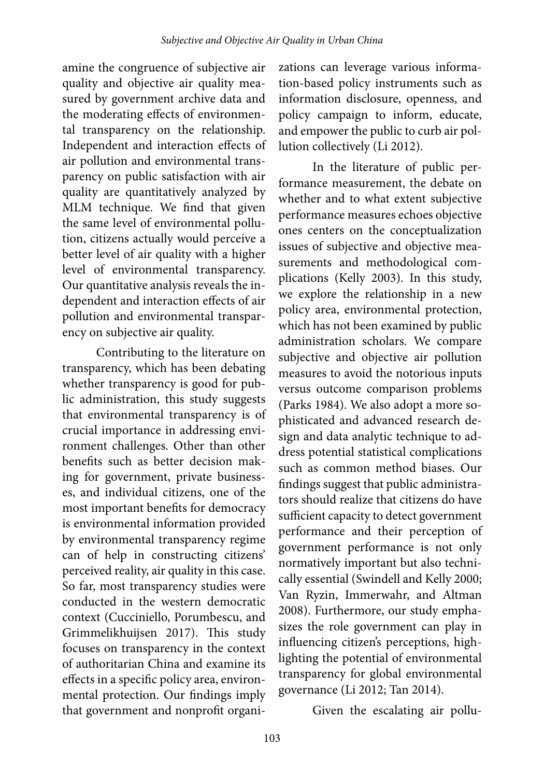amine the congruence of subjective air quality and objective air quality measured by government archive data and the moderating effects of environmental transparency on the relationship. Independent and interaction effects of air pollution and environmental transparency on public satisfaction with air quality are quantitatively analyzed by MLM technique. We find that given the same level of environmental pollution, citizens actually would perceive a better level of air quality with a higher level of environmental transparency. Our quantitative analysis reveals the independent and interaction effects of air pollution and environmental transparency on subjective air quality.

Contributing to the literature on transparency, which has been debating whether transparency is good for public administration, this study suggests that environmental transparency is of crucial importance in addressing environment challenges. Other than other benefits such as better decision making for government, private businesses, and individual citizens, one of the most important benefits for democracy is environmental information provided by environmental transparency regime can of help in constructing citizens' perceived reality, air quality in this case. So far, most transparency studies were conducted in the western democratic context (Cucciniello, Porumbescu, and Grimmelikhuijsen 2017). This study focuses on transparency in the context of authoritarian China and examine its effects in a specific policy area, environmental protection. Our findings imply that government and nonprofit organi-

zations can leverage various information-based policy instruments such as information disclosure, openness, and policy campaign to inform, educate, and empower the public to curb air pollution collectively (Li 2012).

In the literature of public performance measurement, the debate on whether and to what extent subjective performance measures echoes objective ones centers on the conceptualization issues of subjective and objective measurements and methodological complications (Kelly 2003). In this study, we explore the relationship in a new policy area, environmental protection, which has not been examined by public administration scholars. We compare subjective and objective air pollution measures to avoid the notorious inputs versus outcome comparison problems (Parks 1984). We also adopt a more sophisticated and advanced research design and data analytic technique to address potential statistical complications such as common method biases. Our findings suggest that public administrators should realize that citizens do have sufficient capacity to detect government performance and their perception of government performance is not only normatively important but also technically essential (Swindell and Kelly 2000; Van Ryzin, Immerwahr, and Altman 2008). Furthermore, our study emphasizes the role government can play in influencing citizen's perceptions, highlighting the potential of environmental transparency for global environmental governance (Li 2012; Tan 2014).

Given the escalating air pollu-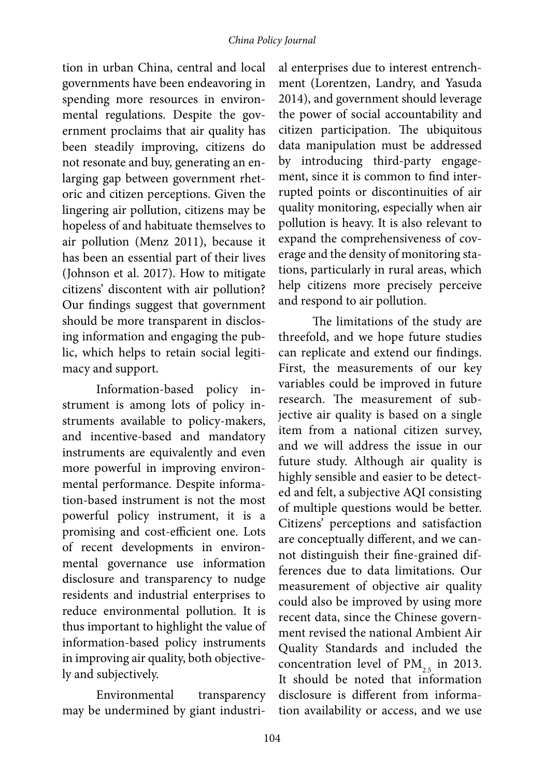tion in urban China, central and local governments have been endeavoring in spending more resources in environmental regulations. Despite the government proclaims that air quality has been steadily improving, citizens do not resonate and buy, generating an enlarging gap between government rhetoric and citizen perceptions. Given the lingering air pollution, citizens may be hopeless of and habituate themselves to air pollution (Menz 2011), because it has been an essential part of their lives (Johnson et al. 2017). How to mitigate citizens' discontent with air pollution? Our findings suggest that government should be more transparent in disclosing information and engaging the public, which helps to retain social legitimacy and support.

Information-based policy instrument is among lots of policy instruments available to policy-makers, and incentive-based and mandatory instruments are equivalently and even more powerful in improving environmental performance. Despite information-based instrument is not the most powerful policy instrument, it is a promising and cost-efficient one. Lots of recent developments in environmental governance use information disclosure and transparency to nudge residents and industrial enterprises to reduce environmental pollution. It is thus important to highlight the value of information-based policy instruments in improving air quality, both objectively and subjectively.

Environmental transparency may be undermined by giant industri-

al enterprises due to interest entrenchment (Lorentzen, Landry, and Yasuda 2014), and government should leverage the power of social accountability and citizen participation. The ubiquitous data manipulation must be addressed by introducing third-party engagement, since it is common to find interrupted points or discontinuities of air quality monitoring, especially when air pollution is heavy. It is also relevant to expand the comprehensiveness of coverage and the density of monitoring stations, particularly in rural areas, which help citizens more precisely perceive and respond to air pollution.

The limitations of the study are threefold, and we hope future studies can replicate and extend our findings. First, the measurements of our key variables could be improved in future research. The measurement of subjective air quality is based on a single item from a national citizen survey, and we will address the issue in our future study. Although air quality is highly sensible and easier to be detected and felt, a subjective AQI consisting of multiple questions would be better. Citizens' perceptions and satisfaction are conceptually different, and we cannot distinguish their fine-grained differences due to data limitations. Our measurement of objective air quality could also be improved by using more recent data, since the Chinese government revised the national Ambient Air Quality Standards and included the concentration level of  $PM_{2.5}$  in 2013. It should be noted that information disclosure is different from information availability or access, and we use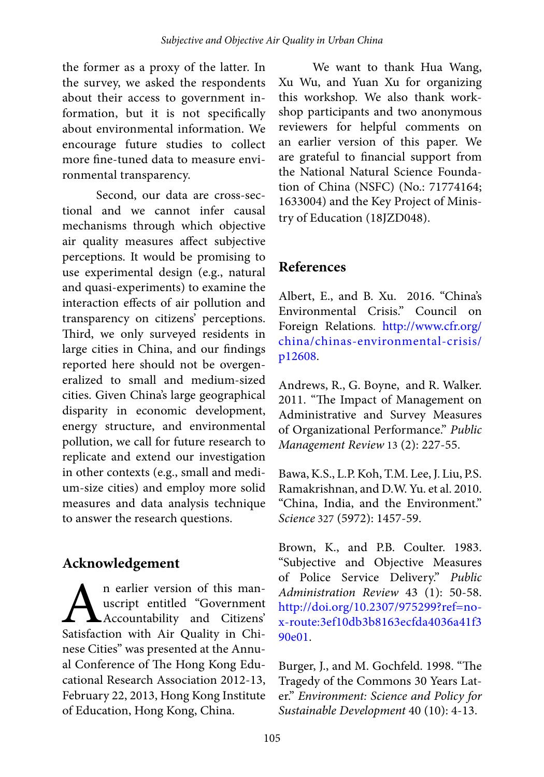the former as a proxy of the latter. In the survey, we asked the respondents about their access to government information, but it is not specifically about environmental information. We encourage future studies to collect more fine-tuned data to measure environmental transparency.

Second, our data are cross-sectional and we cannot infer causal mechanisms through which objective air quality measures affect subjective perceptions. It would be promising to use experimental design (e.g., natural and quasi-experiments) to examine the interaction effects of air pollution and transparency on citizens' perceptions. Third, we only surveyed residents in large cities in China, and our findings reported here should not be overgeneralized to small and medium-sized cities. Given China's large geographical disparity in economic development, energy structure, and environmental pollution, we call for future research to replicate and extend our investigation in other contexts (e.g., small and medium-size cities) and employ more solid measures and data analysis technique to answer the research questions.

# **Acknowledgement**

**A**n earlier version of this man-<br>
accountability and Citizens'<br>
Satisfaction with Air Quality in Chiuscript entitled "Government Accountability and Citizens' nese Cities" was presented at the Annual Conference of The Hong Kong Educational Research Association 2012-13, February 22, 2013, Hong Kong Institute of Education, Hong Kong, China.

We want to thank Hua Wang, Xu Wu, and Yuan Xu for organizing this workshop. We also thank workshop participants and two anonymous reviewers for helpful comments on an earlier version of this paper. We are grateful to financial support from the National Natural Science Foundation of China (NSFC) (No.: 71774164; 1633004) and the Key Project of Ministry of Education (18JZD048).

# **References**

Albert, E., and B. Xu. 2016. "China's Environmental Crisis." Council on Foreign Relations. [http://www.cfr.org/](http://www.cfr.org/china/chinas-environmental-crisis/p12608) [china/chinas-environmental-crisis/](http://www.cfr.org/china/chinas-environmental-crisis/p12608) [p12608](http://www.cfr.org/china/chinas-environmental-crisis/p12608).

Andrews, R., G. Boyne, and R. Walker. 2011. "The Impact of Management on Administrative and Survey Measures of Organizational Performance." *Public Management Review* 13 (2): 227-55.

Bawa, K.S., L.P. Koh, T.M. Lee, J. Liu, P.S. Ramakrishnan, and D.W. Yu. et al. 2010. "China, India, and the Environment." *Science* 327 (5972): 1457-59.

Brown, K., and P.B. Coulter. 1983. "Subjective and Objective Measures of Police Service Delivery." *Public Administration Review* 43 (1): 50-58. [http://doi.org/10.2307/975299?ref=no](http://doi.org/10.2307/975299?ref=no-x-route:3ef10db3b8163ecfda4036a41f390e01)[x-route:3ef10db3b8163ecfda4036a41f3](http://doi.org/10.2307/975299?ref=no-x-route:3ef10db3b8163ecfda4036a41f390e01) [90e01](http://doi.org/10.2307/975299?ref=no-x-route:3ef10db3b8163ecfda4036a41f390e01).

Burger, J., and M. Gochfeld. 1998. "The Tragedy of the Commons 30 Years Later." *Environment: Science and Policy for Sustainable Development* 40 (10): 4-13.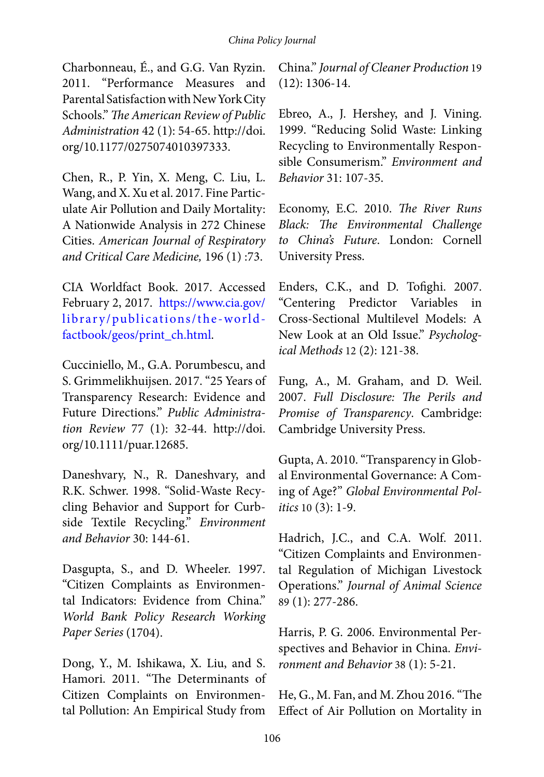Charbonneau, É., and G.G. Van Ryzin. 2011. "Performance Measures and Parental Satisfaction with New York City Schools." *The American Review of Public Administration* 42 (1): 54-65. http://doi. org/10.1177/0275074010397333.

Chen, R., P. Yin, X. Meng, C. Liu, L. Wang, and X. Xu et al. 2017. Fine Particulate Air Pollution and Daily Mortality: A Nationwide Analysis in 272 Chinese Cities. *American Journal of Respiratory and Critical Care Medicine,* 196 (1) :73.

CIA Worldfact Book. 2017. Accessed February 2, 2017. [https://www.cia.gov/](https://www.cia.gov/library/publications/the-world-factbook/geos/print_ch.html) [library/publications/the-world](https://www.cia.gov/library/publications/the-world-factbook/geos/print_ch.html)[factbook/geos/print\\_ch.html.](https://www.cia.gov/library/publications/the-world-factbook/geos/print_ch.html)

Cucciniello, M., G.A. Porumbescu, and S. Grimmelikhuijsen. 2017. "25 Years of Transparency Research: Evidence and Future Directions." *Public Administration Review* 77 (1): 32-44. http://doi. org/10.1111/puar.12685.

Daneshvary, N., R. Daneshvary, and R.K. Schwer. 1998. "Solid-Waste Recycling Behavior and Support for Curbside Textile Recycling." *Environment and Behavior* 30: 144-61.

Dasgupta, S., and D. Wheeler. 1997. "Citizen Complaints as Environmental Indicators: Evidence from China." *World Bank Policy Research Working Paper Series* (1704).

Dong, Y., M. Ishikawa, X. Liu, and S. Hamori. 2011. "The Determinants of Citizen Complaints on Environmental Pollution: An Empirical Study from

China." *Journal of Cleaner Production* 19 (12): 1306-14.

Ebreo, A., J. Hershey, and J. Vining. 1999. "Reducing Solid Waste: Linking Recycling to Environmentally Responsible Consumerism." *Environment and Behavior* 31: 107-35.

Economy, E.C. 2010. *The River Runs Black: The Environmental Challenge to China's Future*. London: Cornell University Press.

Enders, C.K., and D. Tofighi. 2007. "Centering Predictor Variables in Cross-Sectional Multilevel Models: A New Look at an Old Issue." *Psychological Methods* 12 (2): 121-38.

Fung, A., M. Graham, and D. Weil. 2007. *Full Disclosure: The Perils and Promise of Transparency*. Cambridge: Cambridge University Press.

Gupta, A. 2010. "Transparency in Global Environmental Governance: A Coming of Age?" *Global Environmental Politics* 10 (3): 1-9.

Hadrich, J.C., and C.A. Wolf. 2011. "Citizen Complaints and Environmental Regulation of Michigan Livestock Operations." *Journal of Animal Science* 89 (1): 277-286.

Harris, P. G. 2006. Environmental Perspectives and Behavior in China. *Environment and Behavior* 38 (1): 5-21.

He, G., M. Fan, and M. Zhou 2016. "The Effect of Air Pollution on Mortality in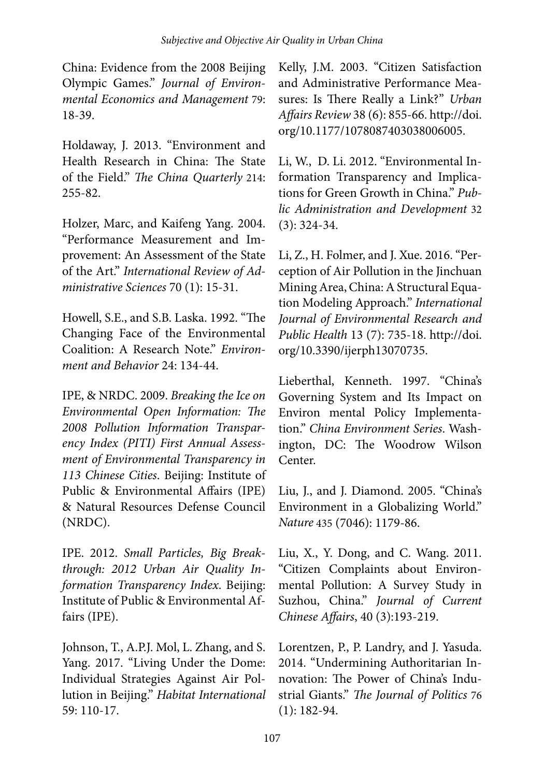China: Evidence from the 2008 Beijing Olympic Games." *Journal of Environmental Economics and Management* 79: 18-39.

Holdaway, J. 2013. "Environment and Health Research in China: The State of the Field." *The China Quarterly* 214: 255-82.

Holzer, Marc, and Kaifeng Yang. 2004. "Performance Measurement and Improvement: An Assessment of the State of the Art." *International Review of Administrative Sciences* 70 (1): 15-31.

Howell, S.E., and S.B. Laska. 1992. "The Changing Face of the Environmental Coalition: A Research Note." *Environment and Behavior* 24: 134-44.

IPE, & NRDC. 2009. *Breaking the Ice on Environmental Open Information: The 2008 Pollution Information Transparency Index (PITI) First Annual Assessment of Environmental Transparency in 113 Chinese Cities*. Beijing: Institute of Public & Environmental Affairs (IPE) & Natural Resources Defense Council (NRDC).

IPE. 2012. *Small Particles, Big Breakthrough: 2012 Urban Air Quality Information Transparency Index*. Beijing: Institute of Public & Environmental Affairs (IPE).

Johnson, T., A.P.J. Mol, L. Zhang, and S. Yang. 2017. "Living Under the Dome: Individual Strategies Against Air Pollution in Beijing." *Habitat International* 59: 110-17.

Kelly, J.M. 2003. "Citizen Satisfaction and Administrative Performance Measures: Is There Really a Link?" *Urban Affairs Review* 38 (6): 855-66. http://doi. org/10.1177/1078087403038006005.

Li, W., D. Li. 2012. "Environmental Information Transparency and Implications for Green Growth in China." *Public Administration and Development* 32 (3): 324-34.

Li, Z., H. Folmer, and J. Xue. 2016. "Perception of Air Pollution in the Jinchuan Mining Area, China: A Structural Equation Modeling Approach." *International Journal of Environmental Research and Public Health* 13 (7): 735-18. http://doi. org/10.3390/ijerph13070735.

Lieberthal, Kenneth. 1997. "China's Governing System and Its Impact on Environ mental Policy Implementation." *China Environment Series*. Washington, DC: The Woodrow Wilson Center.

Liu, J., and J. Diamond. 2005. "China's Environment in a Globalizing World." *Nature* 435 (7046): 1179-86.

Liu, X., Y. Dong, and C. Wang. 2011. "Citizen Complaints about Environmental Pollution: A Survey Study in Suzhou, China." *Journal of Current Chinese Affairs*, 40 (3):193-219.

Lorentzen, P., P. Landry, and J. Yasuda. 2014. "Undermining Authoritarian Innovation: The Power of China's Industrial Giants." *The Journal of Politics* 76 (1): 182-94.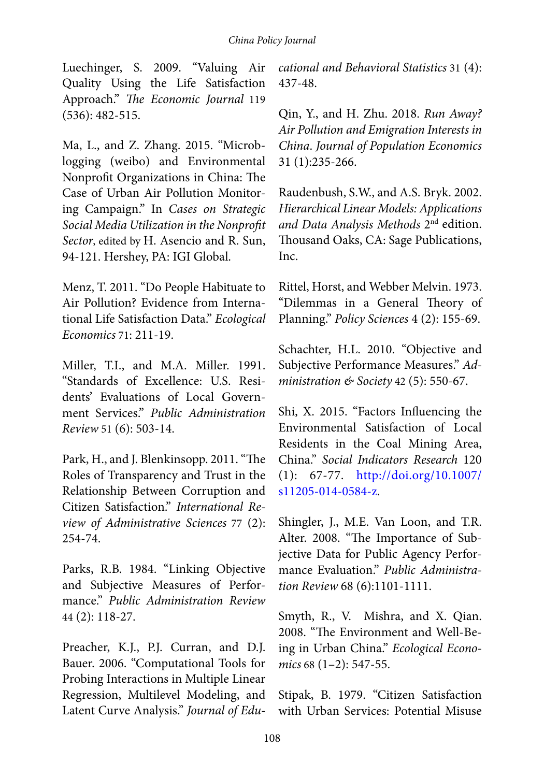Luechinger, S. 2009. "Valuing Air Quality Using the Life Satisfaction Approach." *The Economic Journal* 119 (536): 482-515.

Ma, L., and Z. Zhang. 2015. "Microblogging (weibo) and Environmental Nonprofit Organizations in China: The Case of Urban Air Pollution Monitoring Campaign." In *Cases on Strategic Social Media Utilization in the Nonprofit Sector*, edited by H. Asencio and R. Sun, 94-121. Hershey, PA: IGI Global.

Menz, T. 2011. "Do People Habituate to Air Pollution? Evidence from International Life Satisfaction Data." *Ecological Economics* 71: 211-19.

Miller, T.I., and M.A. Miller. 1991. "Standards of Excellence: U.S. Residents' Evaluations of Local Government Services." *Public Administration Review* 51 (6): 503-14.

Park, H., and J. Blenkinsopp. 2011. "The Roles of Transparency and Trust in the Relationship Between Corruption and Citizen Satisfaction." *International Review of Administrative Sciences* 77 (2): 254-74.

Parks, R.B. 1984. "Linking Objective and Subjective Measures of Performance." *Public Administration Review* 44 (2): 118-27.

Preacher, K.J., P.J. Curran, and D.J. Bauer. 2006. "Computational Tools for Probing Interactions in Multiple Linear Regression, Multilevel Modeling, and Latent Curve Analysis." *Journal of Edu-* *cational and Behavioral Statistics* 31 (4): 437-48.

Qin, Y., and H. Zhu. 2018. *Run Away? Air Pollution and Emigration Interests in China*. *Journal of Population Economics* 31 (1):235-266.

Raudenbush, S.W., and A.S. Bryk. 2002. *Hierarchical Linear Models: Applications and Data Analysis Methods* 2nd edition. Thousand Oaks, CA: Sage Publications, Inc.

Rittel, Horst, and Webber Melvin. 1973. "Dilemmas in a General Theory of Planning." *Policy Sciences* 4 (2): 155-69.

Schachter, H.L. 2010. "Objective and Subjective Performance Measures." *Administration & Society* 42 (5): 550-67.

Shi, X. 2015. "Factors Influencing the Environmental Satisfaction of Local Residents in the Coal Mining Area, China." *Social Indicators Research* 120 (1): 67-77. [http://doi.org/10.1007/](http://doi.org/10.1007/s11205-014-0584-z) [s11205-014-0584-z](http://doi.org/10.1007/s11205-014-0584-z).

Shingler, J., M.E. Van Loon, and T.R. Alter. 2008. "The Importance of Subjective Data for Public Agency Performance Evaluation." *Public Administration Review* 68 (6):1101-1111.

Smyth, R., V. Mishra, and X. Qian. 2008. "The Environment and Well-Being in Urban China." *Ecological Economics* 68 (1–2): 547-55.

Stipak, B. 1979. "Citizen Satisfaction with Urban Services: Potential Misuse